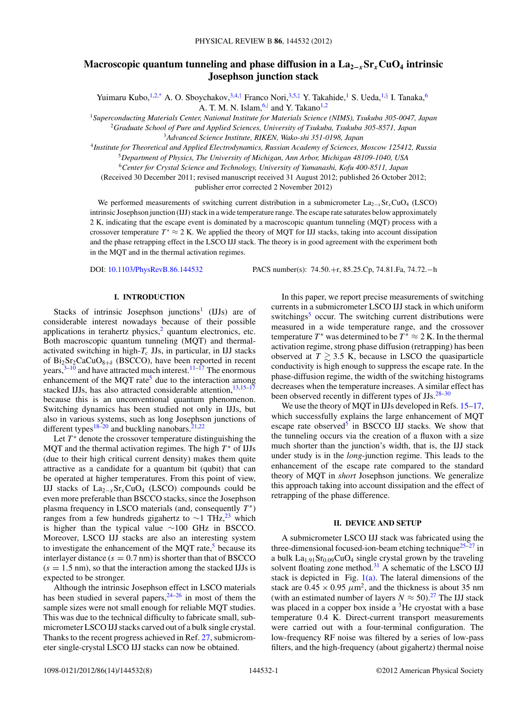# **Macroscopic quantum tunneling and phase diffusion in a**  $\text{La}_{2-x}\text{Sr}_x\text{CuO}_4$  **intrinsic Josephson junction stack**

Yuimaru Kubo,<sup>1,2[,\\*](#page-6-0)</sup> A. O. Sboychakov,<sup>3,4,[†](#page-6-0)</sup> Franco Nori,<sup>3,5,[‡](#page-6-0)</sup> Y. Takahide,<sup>1</sup> S. Ueda,<sup>1,[§](#page-6-0)</sup> I. Tanaka,<sup>6</sup> A. T. M. N. Islam,  $6$ , and Y. Takano<sup>1,2</sup>

<sup>1</sup>*Superconducting Materials Center, National Institute for Materials Science (NIMS), Tsukuba 305-0047, Japan* <sup>2</sup>*Graduate School of Pure and Applied Sciences, University of Tsukuba, Tsukuba 305-8571, Japan*

<sup>3</sup>*Advanced Science Institute, RIKEN, Wako-shi 351-0198, Japan*

<sup>4</sup>*Institute for Theoretical and Applied Electrodynamics, Russian Academy of Sciences, Moscow 125412, Russia*

<sup>5</sup>*Department of Physics, The University of Michigan, Ann Arbor, Michigan 48109-1040, USA*

<sup>6</sup>*Center for Crystal Science and Technology, University of Yamanashi, Kofu 400-8511, Japan*

(Received 30 December 2011; revised manuscript received 31 August 2012; published 26 October 2012;

publisher error corrected 2 November 2012)

We performed measurements of switching current distribution in a submicrometer  $\text{La}_{2-x}\text{Sr}_x\text{CuO}_4$  (LSCO) intrinsic Josephson junction (IJJ) stack in a wide temperature range. The escape rate saturates below approximately 2 K, indicating that the escape event is dominated by a macroscopic quantum tunneling (MQT) process with a crossover temperature  $T^* \approx 2$  K. We applied the theory of MQT for IJJ stacks, taking into account dissipation and the phase retrapping effect in the LSCO IJJ stack. The theory is in good agreement with the experiment both in the MQT and in the thermal activation regimes.

DOI: [10.1103/PhysRevB.86.144532](http://dx.doi.org/10.1103/PhysRevB.86.144532) PACS number(s): 74*.*50*.*+r, 85*.*25*.*Cp, 74*.*81*.*Fa, 74*.*72*.*−h

# **I. INTRODUCTION**

Stacks of intrinsic Josephson junctions<sup>[1](#page-6-0)</sup> (IJJs) are of considerable interest nowadays because of their possible applications in terahertz physics, $2$  quantum electronics, etc. Both macroscopic quantum tunneling (MQT) and thermalactivated switching in high- $T_c$  JJs, in particular, in IJJ stacks of  $\text{Bi}_2\text{Sr}_2\text{CaCuO}_{8+\delta}$  (BSCCO), have been reported in recent years,<sup>3–[10](#page-7-0)</sup> and have attracted much interest.<sup>[11–17](#page-7-0)</sup> The enormous enhancement of the MQT rate<sup>5</sup> due to the interaction among stacked IJJs, has also attracted considerable attention, $13,15-17$ because this is an unconventional quantum phenomenon. Switching dynamics has been studied not only in IJJs, but also in various systems, such as long Josephson junctions of different types<sup>[18–20](#page-7-0)</sup> and buckling nanobars.<sup>21,22</sup>

Let  $T^*$  denote the crossover temperature distinguishing the MQT and the thermal activation regimes. The high  $T^*$  of IJJs (due to their high critical current density) makes them quite attractive as a candidate for a quantum bit (qubit) that can be operated at higher temperatures. From this point of view, IJJ stacks of  $La_{2-x}Sr_xCuO_4$  (LSCO) compounds could be even more preferable than BSCCO stacks, since the Josephson plasma frequency in LSCO materials (and, consequently  $T^*$ ) ranges from a few hundreds gigahertz to ~1 THz,<sup>[23](#page-7-0)</sup> which is higher than the typical value ∼100 GHz in BSCCO. Moreover, LSCO IJJ stacks are also an interesting system to investigate the enhancement of the MQT rate, $5$  because its interlayer distance  $(s = 0.7 \text{ nm})$  is shorter than that of BSCCO  $(s = 1.5 \text{ nm})$ , so that the interaction among the stacked IJJs is expected to be stronger.

Although the intrinsic Josephson effect in LSCO materials has been studied in several papers,  $24-26$  in most of them the sample sizes were not small enough for reliable MQT studies. This was due to the technical difficulty to fabricate small, submicrometer LSCO IJJ stacks carved out of a bulk single crystal. Thanks to the recent progress achieved in Ref. [27,](#page-7-0) submicrometer single-crystal LSCO IJJ stacks can now be obtained.

In this paper, we report precise measurements of switching currents in a submicrometer LSCO IJJ stack in which uniform switchings<sup>[5](#page-6-0)</sup> occur. The switching current distributions were measured in a wide temperature range, and the crossover temperature  $T^*$  was determined to be  $T^* \approx 2$  K. In the thermal activation regime, strong phase diffusion (retrapping) has been observed at  $T \gtrsim 3.5$  K, because in LSCO the quasiparticle conductivity is high enough to suppress the escape rate. In the phase-diffusion regime, the width of the switching histograms decreases when the temperature increases. A similar effect has been observed recently in different types of JJs.<sup>28–30</sup>

We use the theory of MQT in IJJs developed in Refs. [15–17,](#page-7-0) which successfully explains the large enhancement of MQT escape rate observed<sup>5</sup> in BSCCO IJJ stacks. We show that the tunneling occurs via the creation of a fluxon with a size much shorter than the junction's width, that is, the IJJ stack under study is in the *long*-junction regime. This leads to the enhancement of the escape rate compared to the standard theory of MQT in *short* Josephson junctions. We generalize this approach taking into account dissipation and the effect of retrapping of the phase difference.

#### **II. DEVICE AND SETUP**

A submicrometer LSCO IJJ stack was fabricated using the three-dimensional focused-ion-beam etching technique $25-27$  in a bulk La<sub>1.91</sub>Sr<sub>0.09</sub>CuO<sub>4</sub> single crystal grown by the traveling solvent floating zone method.<sup>31</sup> A schematic of the LSCO IJJ stack is depicted in Fig.  $1(a)$ . The lateral dimensions of the stack are  $0.45 \times 0.95 \ \mu \text{m}^2$ , and the thickness is about 35 nm (with an estimated number of layers  $N \approx 50$ ).<sup>27</sup> The IJJ stack was placed in a copper box inside a <sup>3</sup>He cryostat with a base temperature 0*.*4 K. Direct-current transport measurements were carried out with a four-terminal configuration. The low-frequency RF noise was filtered by a series of low-pass filters, and the high-frequency (about gigahertz) thermal noise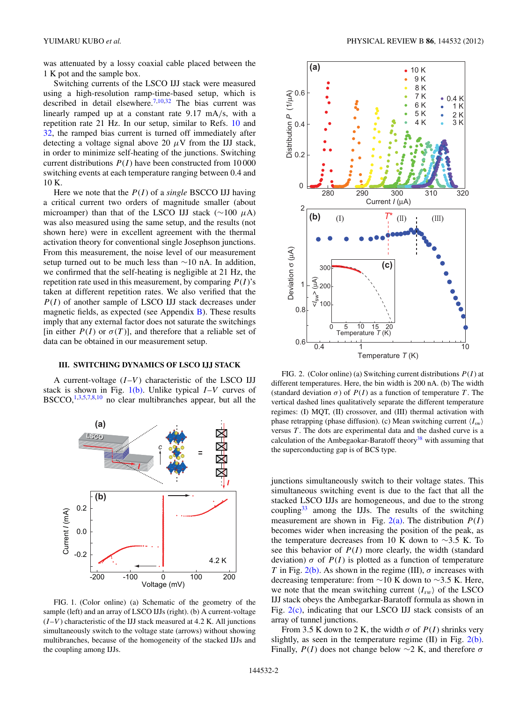<span id="page-1-0"></span>was attenuated by a lossy coaxial cable placed between the 1 K pot and the sample box.

Switching currents of the LSCO IJJ stack were measured using a high-resolution ramp-time-based setup, which is described in detail elsewhere.<sup>[7,10,32](#page-7-0)</sup> The bias current was linearly ramped up at a constant rate 9*.*17 mA*/*s, with a repetition rate 21 Hz. In our setup, similar to Refs. [10](#page-7-0) and [32,](#page-7-0) the ramped bias current is turned off immediately after detecting a voltage signal above 20  $\mu$ V from the IJJ stack, in order to minimize self-heating of the junctions. Switching current distributions *P*(*I* ) have been constructed from 10 000 switching events at each temperature ranging between 0*.*4 and 10 K.

Here we note that the *P*(*I* ) of a *single* BSCCO IJJ having a critical current two orders of magnitude smaller (about microamper) than that of the LSCO IJJ stack (∼100 *μ*A) was also measured using the same setup, and the results (not shown here) were in excellent agreement with the thermal activation theory for conventional single Josephson junctions. From this measurement, the noise level of our measurement setup turned out to be much less than ∼10 nA. In addition, we confirmed that the self-heating is negligible at 21 Hz, the repetition rate used in this measurement, by comparing *P*(*I* )'s taken at different repetition rates. We also verified that the *P*(*I* ) of another sample of LSCO IJJ stack decreases under magnetic fields, as expected (see Appendix [B\)](#page-6-0). These results imply that any external factor does not saturate the switchings [in either  $P(I)$  or  $\sigma(T)$ ], and therefore that a reliable set of data can be obtained in our measurement setup.

# **III. SWITCHING DYNAMICS OF LSCO IJJ STACK**

A current-voltage  $(I-V)$  characteristic of the LSCO IJJ stack is shown in Fig. 1(b). Unlike typical *I*–*V* curves of BSCCO,[1,3,5,](#page-6-0)[7,8,10](#page-7-0) no clear multibranches appear, but all the



FIG. 1. (Color online) (a) Schematic of the geometry of the sample (left) and an array of LSCO IJJs (right). (b) A current-voltage (*I*–*V* ) characteristic of the IJJ stack measured at 4*.*2 K. All junctions simultaneously switch to the voltage state (arrows) without showing multibranches, because of the homogeneity of the stacked IJJs and the coupling among IJJs.



FIG. 2. (Color online) (a) Switching current distributions *P*(*I* ) at different temperatures. Here, the bin width is 200 nA. (b) The width (standard deviation  $\sigma$ ) of  $P(I)$  as a function of temperature *T*. The vertical dashed lines qualitatively separate the different temperature regimes: (I) MQT, (II) crossover, and (III) thermal activation with phase retrapping (phase diffusion). (c) Mean switching current  $\langle I_{sw} \rangle$ versus *T* . The dots are experimental data and the dashed curve is a calculation of the Ambegaokar-Baratoff theory<sup>38</sup> with assuming that the superconducting gap is of BCS type.

junctions simultaneously switch to their voltage states. This simultaneous switching event is due to the fact that all the stacked LSCO IJJs are homogeneous, and due to the strong coupling $33$  among the IJJs. The results of the switching measurement are shown in Fig.  $2(a)$ . The distribution  $P(I)$ becomes wider when increasing the position of the peak, as the temperature decreases from 10 K down to ∼3*.*5 K. To see this behavior of  $P(I)$  more clearly, the width (standard deviation)  $\sigma$  of  $P(I)$  is plotted as a function of temperature *T* in Fig. 2(b). As shown in the regime (III),  $\sigma$  increases with decreasing temperature: from ∼10 K down to ∼3*.*5 K. Here, we note that the mean switching current  $\langle I_{sw} \rangle$  of the LSCO IJJ stack obeys the Ambegarkar-Baratoff formula as shown in Fig. 2(c), indicating that our LSCO IJJ stack consists of an array of tunnel junctions.

From 3.5 K down to 2 K, the width  $\sigma$  of  $P(I)$  shrinks very slightly, as seen in the temperature regime  $(II)$  in Fig.  $2(b)$ . Finally,  $P(I)$  does not change below  $\sim$ 2 K, and therefore  $\sigma$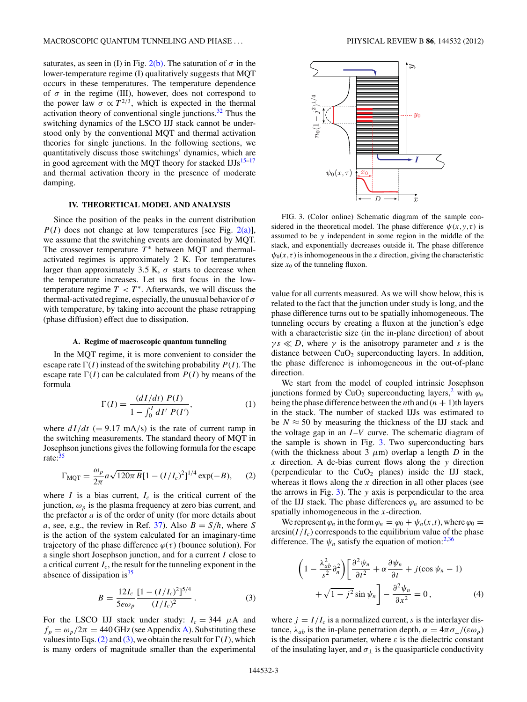<span id="page-2-0"></span>saturates, as seen in (I) in Fig.  $2(b)$ . The saturation of  $\sigma$  in the lower-temperature regime (I) qualitatively suggests that MQT occurs in these temperatures. The temperature dependence of  $\sigma$  in the regime (III), however, does not correspond to the power law  $\sigma \propto T^{2/3}$ , which is expected in the thermal activation theory of conventional single junctions. $32$  Thus the switching dynamics of the LSCO IJJ stack cannot be understood only by the conventional MQT and thermal activation theories for single junctions. In the following sections, we quantitatively discuss those switchings' dynamics, which are in good agreement with the MQT theory for stacked  $\text{IJJs}^{15-17}$ and thermal activation theory in the presence of moderate damping.

# **IV. THEORETICAL MODEL AND ANALYSIS**

Since the position of the peaks in the current distribution  $P(I)$  does not change at low temperatures [see Fig. [2\(a\)\]](#page-1-0), we assume that the switching events are dominated by MQT. The crossover temperature  $T^*$  between MQT and thermalactivated regimes is approximately 2 K. For temperatures larger than approximately 3.5 K,  $\sigma$  starts to decrease when the temperature increases. Let us first focus in the lowtemperature regime  $T < T^*$ . Afterwards, we will discuss the thermal-activated regime, especially, the unusual behavior of *σ* with temperature, by taking into account the phase retrapping (phase diffusion) effect due to dissipation.

#### **A. Regime of macroscopic quantum tunneling**

In the MQT regime, it is more convenient to consider the escape rate  $\Gamma(I)$  instead of the switching probability  $P(I)$ . The escape rate  $\Gamma(I)$  can be calculated from  $P(I)$  by means of the formula

$$
\Gamma(I) = \frac{(dI/dt) P(I)}{1 - \int_0^I dI' P(I')},
$$
\n(1)

where  $dI/dt$  (= 9.17 mA/s) is the rate of current ramp in the switching measurements. The standard theory of MQT in Josephson junctions gives the following formula for the escape rate:<sup>[35](#page-7-0)</sup>

$$
\Gamma_{\text{MQT}} = \frac{\omega_p}{2\pi} a \sqrt{120\pi B} [1 - (I/I_c)^2]^{1/4} \exp(-B), \quad (2)
$$

where *I* is a bias current,  $I_c$  is the critical current of the junction,  $\omega_p$  is the plasma frequency at zero bias current, and the prefactor  $a$  is of the order of unity (for more details about *a*, see, e.g., the review in Ref. [37\)](#page-7-0). Also  $B = S/\hbar$ , where *S* is the action of the system calculated for an imaginary-time trajectory of the phase difference  $\varphi(\tau)$  (bounce solution). For a single short Josephson junction, and for a current *I* close to a critical current *Ic*, the result for the tunneling exponent in the absence of dissipation is  $35$ 

$$
B = \frac{12I_c}{5e\omega_p} \frac{[1 - (I/I_c)^2]^{5/4}}{(I/I_c)^2} \,. \tag{3}
$$

For the LSCO IJJ stack under study:  $I_c = 344 \mu A$  and  $f_p = \omega_p/2\pi = 440$  GHz (see Appendix [A\)](#page-6-0). Substituting these values into Eqs. (2) and (3), we obtain the result for  $\Gamma(I)$ , which is many orders of magnitude smaller than the experimental



FIG. 3. (Color online) Schematic diagram of the sample considered in the theoretical model. The phase difference  $\psi(x, y, \tau)$  is assumed to be *y* independent in some region in the middle of the stack, and exponentially decreases outside it. The phase difference  $\psi_0(x, \tau)$  is inhomogeneous in the *x* direction, giving the characteristic size  $x_0$  of the tunneling fluxon.

value for all currents measured. As we will show below, this is related to the fact that the junction under study is long, and the phase difference turns out to be spatially inhomogeneous. The tunneling occurs by creating a fluxon at the junction's edge with a characteristic size (in the in-plane direction) of about  $\gamma s \ll D$ , where  $\gamma$  is the anisotropy parameter and *s* is the distance between  $CuO<sub>2</sub>$  superconducting layers. In addition, the phase difference is inhomogeneous in the out-of-plane direction.

We start from the model of coupled intrinsic Josephson junctions formed by CuO<sub>2</sub> superconducting layers,<sup>2</sup> with  $\varphi_n$ being the phase difference between the *n*th and  $(n + 1)$ th layers in the stack. The number of stacked IJJs was estimated to be  $N \approx 50$  by measuring the thickness of the IJJ stack and the voltage gap in an *I*–*V* curve. The schematic diagram of the sample is shown in Fig. 3. Two superconducting bars (with the thickness about 3  $\mu$ m) overlap a length *D* in the *x* direction. A dc-bias current flows along the *y* direction (perpendicular to the  $CuO<sub>2</sub>$  planes) inside the IJJ stack, whereas it flows along the *x* direction in all other places (see the arrows in Fig. 3). The *y* axis is perpendicular to the area of the IJJ stack. The phase differences  $\varphi_n$  are assumed to be spatially inhomogeneous in the *x*-direction.

We represent  $\varphi_n$  in the form  $\varphi_n = \varphi_0 + \psi_n(x,t)$ , where  $\varphi_0 =$  $arcsin(I/I_c)$  corresponds to the equilibrium value of the phase difference. The  $\psi_n$  satisfy the equation of motion:<sup>[2](#page-6-0)[,36](#page-7-0)</sup>

$$
\left(1 - \frac{\lambda_{ab}^2}{s^2} \partial_n^2\right) \left[\frac{\partial^2 \psi_n}{\partial t^2} + \alpha \frac{\partial \psi_n}{\partial t} + j(\cos \psi_n - 1) + \sqrt{1 - j^2} \sin \psi_n\right] - \frac{\partial^2 \psi_n}{\partial x^2} = 0,
$$
\n(4)

where  $j = I/I_c$  is a normalized current, *s* is the interlayer distance,  $\lambda_{ab}$  is the in-plane penetration depth,  $\alpha = 4\pi \sigma_{\perp}/(\varepsilon \omega_p)$ is the dissipation parameter, where  $\varepsilon$  is the dielectric constant of the insulating layer, and  $\sigma_{\perp}$  is the quasiparticle conductivity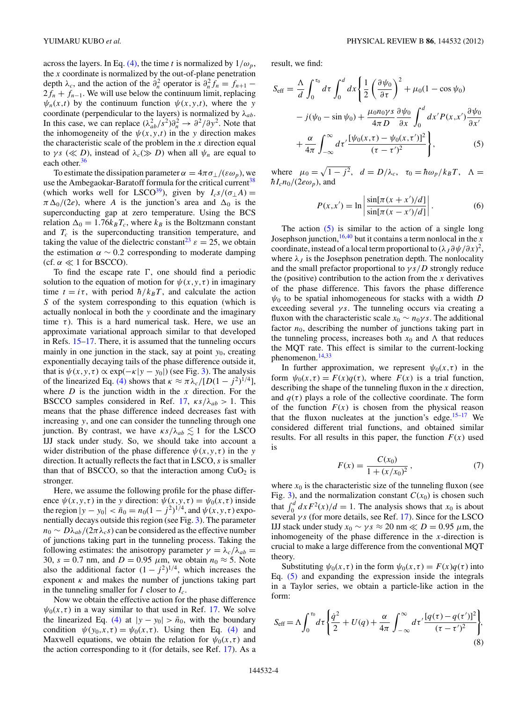<span id="page-3-0"></span>across the layers. In Eq. [\(4\),](#page-2-0) the time *t* is normalized by  $1/\omega_p$ , the *x* coordinate is normalized by the out-of-plane penetration depth  $\lambda_c$ , and the action of the  $\partial_n^2$  operator is  $\partial_n^2 f_n = f_{n+1}$  $2f_n + f_{n-1}$ . We will use below the continuum limit, replacing  $\psi_n(x,t)$  by the continuum function  $\psi(x,y,t)$ , where the *y* coordinate (perpendicular to the layers) is normalized by  $\lambda_{ab}$ . In this case, we can replace  $(\lambda_{ab}^2/s^2)\partial_n^2 \to \partial^2/\partial y^2$ . Note that the inhomogeneity of the  $\psi(x, y, t)$  in the *y* direction makes the characteristic scale of the problem in the *x* direction equal to *γs* ( $\ll D$ ), instead of  $\lambda_c \gg D$ ) when all  $\psi_n$  are equal to each other.<sup>36</sup>

To estimate the dissipation parameter  $\alpha = 4\pi \sigma_{\perp}/(\varepsilon \omega_p)$ , we use the Ambegaokar-Baratoff formula for the critical current<sup>[38](#page-7-0)</sup> (which works well for LSCO<sup>39</sup>), given by  $I_c s/(\sigma_\perp A)$  =  $\pi \Delta_0/(2e)$ , where *A* is the junction's area and  $\Delta_0$  is the superconducting gap at zero temperature. Using the BCS relation  $\Delta_0 = 1.76 k_B T_c$ , where  $k_B$  is the Boltzmann constant and *Tc* is the superconducting transition temperature, and taking the value of the dielectric constant<sup>[23](#page-7-0)</sup>  $\varepsilon = 25$ , we obtain the estimation  $\alpha \sim 0.2$  corresponding to moderate damping (cf.  $\alpha \ll 1$  for BSCCO).

To find the escape rate  $\Gamma$ , one should find a periodic solution to the equation of motion for  $\psi(x, y, \tau)$  in imaginary time  $t = i\tau$ , with period  $\hbar / k_B T$ , and calculate the action *S* of the system corresponding to this equation (which is actually nonlocal in both the *y* coordinate and the imaginary time  $\tau$ ). This is a hard numerical task. Here, we use an approximate variational approach similar to that developed in Refs. [15–17.](#page-7-0) There, it is assumed that the tunneling occurs mainly in one junction in the stack, say at point  $y_0$ , creating exponentially decaying tails of the phase difference outside it, that is  $\psi(x, y, \tau) \propto \exp(-\kappa |y - y_0|)$  (see Fig. [3\)](#page-2-0). The analysis of the linearized Eq. [\(4\)](#page-2-0) shows that  $\kappa \approx \pi \lambda_c/[D(1 - j^2)^{1/4}],$ where *D* is the junction width in the *x* direction. For the BSCCO samples considered in Ref. [17,](#page-7-0)  $\kappa s / \lambda_{ab} > 1$ . This means that the phase difference indeed decreases fast with increasing *y*, and one can consider the tunneling through one junction. By contrast, we have  $\kappa s / \lambda_{ab} \lesssim 1$  for the LSCO IJJ stack under study. So, we should take into account a wider distribution of the phase difference  $\psi(x, y, \tau)$  in the *y* direction. It actually reflects the fact that in LSCO, *s* is smaller than that of BSCCO, so that the interaction among  $CuO<sub>2</sub>$  is stronger.

Here, we assume the following profile for the phase difference  $\psi(x, y, \tau)$  in the *y* direction:  $\psi(x, y, \tau) = \psi_0(x, \tau)$  inside the region  $|y - y_0| < \bar{n}_0 = n_0(1 - j^2)^{1/4}$ , and  $\psi(x, y, \tau)$  exponentially decays outside this region (see Fig. [3\)](#page-2-0). The parameter  $n_0 \sim D\lambda_{ab}/(2\pi\lambda_c s)$  can be considered as the effective number of junctions taking part in the tunneling process. Taking the following estimates: the anisotropy parameter  $\gamma = \lambda_c / \lambda_{ab}$ 30,  $s = 0.7$  nm, and  $D = 0.95$   $\mu$ m, we obtain  $n_0 \approx 5$ . Note also the additional factor  $(1 - j^2)^{1/4}$ , which increases the exponent  $\kappa$  and makes the number of junctions taking part in the tunneling smaller for *I* closer to *Ic*.

Now we obtain the effective action for the phase difference  $\psi_0(x,\tau)$  in a way similar to that used in Ref. [17.](#page-7-0) We solve the linearized Eq. [\(4\)](#page-2-0) at  $|y - y_0| > \bar{n}_0$ , with the boundary condition  $\psi(y_0, x, \tau) = \psi_0(x, \tau)$ . Using then Eq. [\(4\)](#page-2-0) and Maxwell equations, we obtain the relation for  $\psi_0(x, \tau)$  and the action corresponding to it (for details, see Ref. [17\)](#page-7-0). As a result, we find:

$$
S_{\text{eff}} = \frac{\Lambda}{d} \int_0^{\tau_0} d\tau \int_0^d dx \left\{ \frac{1}{2} \left( \frac{\partial \psi_0}{\partial \tau} \right)^2 + \mu_0 (1 - \cos \psi_0) \right.- j(\psi_0 - \sin \psi_0) + \frac{\mu_0 n_0 \gamma s}{4 \pi D} \frac{\partial \psi_0}{\partial x} \int_0^d dx' P(x, x') \frac{\partial \psi_0}{\partial x'} + \frac{\alpha}{4 \pi} \int_{-\infty}^{\infty} d\tau' \frac{[\psi_0(x, \tau) - \psi_0(x, \tau')]^2}{(\tau - \tau')^2} \right\},
$$
(5)

where  $\mu_0 = \sqrt{1 - j^2}$ ,  $d = D/\lambda_c$ ,  $\tau_0 = \hbar \omega_p / k_B T$ ,  $\Lambda =$  $\hbar I_c n_0/(2e\omega_p)$ , and

$$
P(x, x') = \ln \left| \frac{\sin[\pi(x + x')/d]}{\sin[\pi(x - x')/d]} \right|.
$$
 (6)

The action  $(5)$  is similar to the action of a single long Josephson junction,  $\frac{16,40}{16}$  $\frac{16,40}{16}$  $\frac{16,40}{16}$  but it contains a term nonlocal in the *x* coordinate, instead of a local term proportional to  $(\lambda_J \partial \psi / \partial x)^2$ , where  $\lambda_J$  is the Josephson penetration depth. The nonlocality and the small prefactor proportional to *γs/D* strongly reduce the (positive) contribution to the action from the  $x$  derivatives of the phase difference. This favors the phase difference  $\psi_0$  to be spatial inhomogeneous for stacks with a width *D* exceeding several *γs*. The tunneling occurs via creating a fluxon with the characteristic scale  $x_0 \sim n_0 \gamma s$ . The additional factor  $n_0$ , describing the number of junctions taking part in the tunneling process, increases both  $x_0$  and  $\Lambda$  that reduces the MQT rate. This effect is similar to the current-locking phenomenon.[14,33](#page-7-0)

In further approximation, we represent  $\psi_0(x,\tau)$  in the form  $\psi_0(x,\tau) = F(x)q(\tau)$ , where  $F(x)$  is a trial function, describing the shape of the tunneling fluxon in the *x* direction, and  $q(\tau)$  plays a role of the collective coordinate. The form of the function  $F(x)$  is chosen from the physical reason that the fluxon nucleates at the junction's edge.<sup>[15–17](#page-7-0)</sup> We considered different trial functions, and obtained similar results. For all results in this paper, the function  $F(x)$  used is

$$
F(x) = \frac{C(x_0)}{1 + (x/x_0)^2},
$$
\n(7)

where  $x_0$  is the characteristic size of the tunneling fluxon (see Fig. [3\)](#page-2-0), and the normalization constant  $C(x_0)$  is chosen such that  $\int_0^d dx F^2(x)/d = 1$ . The analysis shows that  $x_0$  is about several *γs* (for more details, see Ref. [17\)](#page-7-0). Since for the LSCO IJJ stack under study  $x_0 \sim \gamma s \approx 20$  nm  $\ll D = 0.95$   $\mu$ m, the inhomogeneity of the phase difference in the  $x$ -direction is crucial to make a large difference from the conventional MQT theory.

Substituting  $\psi_0(x, \tau)$  in the form  $\psi_0(x, \tau) = F(x)q(\tau)$  into Eq. (5) and expanding the expression inside the integrals in a Taylor series, we obtain a particle-like action in the form:

$$
S_{\text{eff}} = \Lambda \int_0^{\tau_0} d\tau \left\{ \frac{\dot{q}^2}{2} + U(q) + \frac{\alpha}{4\pi} \int_{-\infty}^{\infty} d\tau' \frac{[q(\tau) - q(\tau')]^2}{(\tau - \tau')^2} \right\},\tag{8}
$$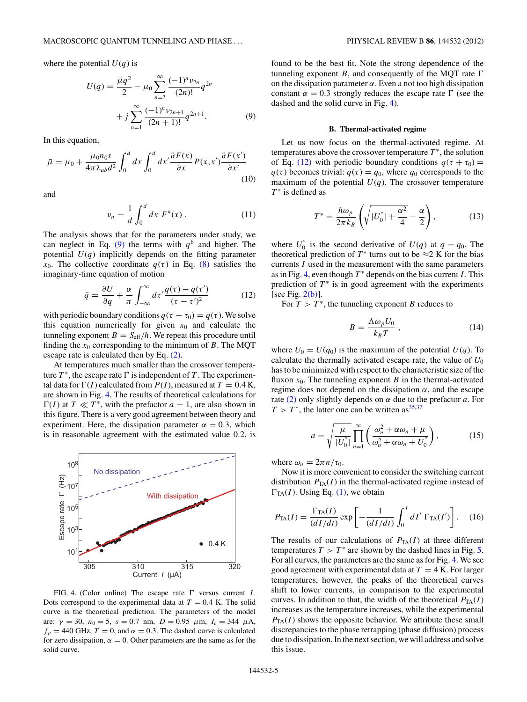<span id="page-4-0"></span>where the potential  $U(q)$  is

$$
U(q) = \frac{\bar{\mu}q^2}{2} - \mu_0 \sum_{n=2}^{\infty} \frac{(-1)^n \nu_{2n}}{(2n)!} q^{2n} + j \sum_{n=1}^{\infty} \frac{(-1)^n \nu_{2n+1}}{(2n+1)!} q^{2n+1}.
$$
 (9)

In this equation,

$$
\bar{\mu} = \mu_0 + \frac{\mu_0 n_0 s}{4\pi \lambda_{ab} d^2} \int_0^d dx \int_0^d dx' \frac{\partial F(x)}{\partial x} P(x, x') \frac{\partial F(x')}{\partial x'} \tag{10}
$$

and

$$
v_n = \frac{1}{d} \int_0^d dx \ F^n(x) \,. \tag{11}
$$

The analysis shows that for the parameters under study, we can neglect in Eq. (9) the terms with  $q<sup>6</sup>$  and higher. The potential  $U(q)$  implicitly depends on the fitting parameter *x*<sub>0</sub>. The collective coordinate  $q(\tau)$  in Eq. [\(8\)](#page-3-0) satisfies the imaginary-time equation of motion

$$
\ddot{q} = \frac{\partial U}{\partial q} + \frac{\alpha}{\pi} \int_{-\infty}^{\infty} d\tau' \frac{q(\tau) - q(\tau')}{(\tau - \tau')^2} \tag{12}
$$

with periodic boundary conditions  $q(\tau + \tau_0) = q(\tau)$ . We solve this equation numerically for given  $x_0$  and calculate the tunneling exponent  $B = S_{\text{eff}}/\hbar$ . We repeat this procedure until finding the  $x_0$  corresponding to the minimum of  $B$ . The MQT escape rate is calculated then by Eq. [\(2\).](#page-2-0)

At temperatures much smaller than the crossover temperature  $T^*$ , the escape rate  $\Gamma$  is independent of  $T$ . The experimental data for  $\Gamma(I)$  calculated from  $P(I)$ , measured at  $T = 0.4$  K, are shown in Fig. 4. The results of theoretical calculations for  $\Gamma(I)$  at  $T \ll T^*$ , with the prefactor  $a = 1$ , are also shown in this figure. There is a very good agreement between theory and experiment. Here, the dissipation parameter  $\alpha = 0.3$ , which is in reasonable agreement with the estimated value 0*.*2, is



FIG. 4. (Color online) The escape rate  $\Gamma$  versus current *I*. Dots correspond to the experimental data at  $T = 0.4$  K. The solid curve is the theoretical prediction. The parameters of the model are: *γ* = 30, *n*<sup>0</sup> = 5, *s* = 0*.*7 nm, *D* = 0*.*95 *μ*m, *Ic* = 344 *μ*A,  $f_p = 440$  GHz,  $T = 0$ , and  $\alpha = 0.3$ . The dashed curve is calculated for zero dissipation,  $\alpha = 0$ . Other parameters are the same as for the solid curve.

found to be the best fit. Note the strong dependence of the tunneling exponent *B*, and consequently of the MQT rate  $\Gamma$ on the dissipation parameter  $\alpha$ . Even a not too high dissipation constant  $\alpha = 0.3$  strongly reduces the escape rate  $\Gamma$  (see the dashed and the solid curve in Fig. 4).

#### **B. Thermal-activated regime**

Let us now focus on the thermal-activated regime. At temperatures above the crossover temperature  $T^*$ , the solution of Eq. (12) with periodic boundary conditions  $q(\tau + \tau_0) =$  $q(\tau)$  becomes trivial:  $q(\tau) = q_0$ , where  $q_0$  corresponds to the maximum of the potential  $U(q)$ . The crossover temperature *T*<sup>∗</sup> is defined as

$$
T^* = \frac{\hbar \omega_p}{2\pi k_B} \left( \sqrt{|U_0''| + \frac{\alpha^2}{4}} - \frac{\alpha}{2} \right),\tag{13}
$$

where  $U_0''$  is the second derivative of  $U(q)$  at  $q = q_0$ . The theoretical prediction of  $T^*$  turns out to be  $\approx$ 2 K for the bias currents *I* used in the measurement with the same parameters as in Fig. 4, even though  $T^*$  depends on the bias current *I*. This prediction of  $T^*$  is in good agreement with the experiments [see Fig.  $2(b)$ ].

For  $T > T^*$ , the tunneling exponent *B* reduces to

$$
B = \frac{\Lambda \omega_p U_0}{k_B T} \,,\tag{14}
$$

where  $U_0 = U(q_0)$  is the maximum of the potential  $U(q)$ . To calculate the thermally activated escape rate, the value of  $U_0$ has to be minimized with respect to the characteristic size of the fluxon  $x_0$ . The tunneling exponent *B* in the thermal-activated regime does not depend on the dissipation  $\alpha$ , and the escape rate [\(2\)](#page-2-0) only slightly depends on *α* due to the prefactor *a*. For  $T > T^*$ , the latter one can be written as <sup>[35,37](#page-7-0)</sup>

$$
a = \sqrt{\frac{\bar{\mu}}{|U_0''|}} \prod_{n=1}^{\infty} \left( \frac{\omega_n^2 + \alpha \omega_n + \bar{\mu}}{\omega_n^2 + \alpha \omega_n + U_0''} \right),
$$
 (15)

where  $\omega_n = 2\pi n/\tau_0$ .

Now it is more convenient to consider the switching current distribution  $P_{TA}(I)$  in the thermal-activated regime instead of  $\Gamma_{TA}(I)$ . Using Eq. [\(1\),](#page-2-0) we obtain

$$
P_{\text{TA}}(I) = \frac{\Gamma_{\text{TA}}(I)}{(dI/dt)} \exp\left[-\frac{1}{(dI/dt)} \int_0^I dI' \Gamma_{\text{TA}}(I')\right]. \quad (16)
$$

The results of our calculations of  $P_{TA}(I)$  at three different temperatures  $T > T^*$  are shown by the dashed lines in Fig. [5.](#page-5-0) For all curves, the parameters are the same as for Fig. 4. We see good agreement with experimental data at  $T = 4$  K. For larger temperatures, however, the peaks of the theoretical curves shift to lower currents, in comparison to the experimental curves. In addition to that, the width of the theoretical  $P_{TA}(I)$ increases as the temperature increases, while the experimental  $P_{TA}(I)$  shows the opposite behavior. We attribute these small discrepancies to the phase retrapping (phase diffusion) process due to dissipation. In the next section, we will address and solve this issue.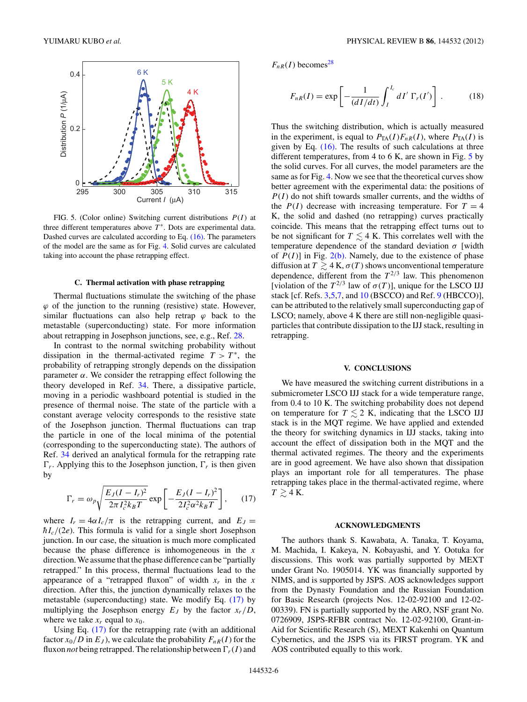<span id="page-5-0"></span>

FIG. 5. (Color online) Switching current distributions  $P(I)$  at three different temperatures above  $T^*$ . Dots are experimental data. Dashed curves are calculated according to Eq. [\(16\).](#page-4-0) The parameters of the model are the same as for Fig. [4.](#page-4-0) Solid curves are calculated taking into account the phase retrapping effect.

## **C. Thermal activation with phase retrapping**

Thermal fluctuations stimulate the switching of the phase  $\varphi$  of the junction to the running (resistive) state. However, similar fluctuations can also help retrap  $\varphi$  back to the metastable (superconducting) state. For more information about retrapping in Josephson junctions, see, e.g., Ref. [28.](#page-7-0)

In contrast to the normal switching probability without dissipation in the thermal-activated regime  $T > T^*$ , the probability of retrapping strongly depends on the dissipation parameter  $\alpha$ . We consider the retrapping effect following the theory developed in Ref. [34.](#page-7-0) There, a dissipative particle, moving in a periodic washboard potential is studied in the presence of thermal noise. The state of the particle with a constant average velocity corresponds to the resistive state of the Josephson junction. Thermal fluctuations can trap the particle in one of the local minima of the potential (corresponding to the superconducting state). The authors of Ref. [34](#page-7-0) derived an analytical formula for the retrapping rate  $\Gamma_r$ . Applying this to the Josephson junction,  $\Gamma_r$  is then given by

$$
\Gamma_r = \omega_p \sqrt{\frac{E_J (I - I_r)^2}{2\pi I_c^2 k_B T}} \exp\left[-\frac{E_J (I - I_r)^2}{2I_c^2 \alpha^2 k_B T}\right],\qquad(17)
$$

where  $I_r = 4\alpha I_c/\pi$  is the retrapping current, and  $E_J =$  $\hbar I_c/(2e)$ . This formula is valid for a single short Josephson junction. In our case, the situation is much more complicated because the phase difference is inhomogeneous in the *x* direction. We assume that the phase difference can be "partially retrapped." In this process, thermal fluctuations lead to the appearance of a "retrapped fluxon" of width  $x_r$  in the  $x$ direction. After this, the junction dynamically relaxes to the metastable (superconducting) state. We modify Eq. (17) by multiplying the Josephson energy  $E_J$  by the factor  $x_r/D$ , where we take  $x_r$  equal to  $x_0$ .

Using Eq. (17) for the retrapping rate (with an additional factor  $x_0/D$  in  $E_J$ ), we calculate the probability  $F_{nR}(I)$  for the fluxon *not* being retrapped. The relationship between  $\Gamma_r(I)$  and  $F_{nR}(I)$  becomes<sup>[28](#page-7-0)</sup>

$$
F_{nR}(I) = \exp\left[-\frac{1}{(dI/dt)} \int_{I}^{I_c} dI' \Gamma_r(I')\right].
$$
 (18)

Thus the switching distribution, which is actually measured in the experiment, is equal to  $P_{TA}(I)F_{nR}(I)$ , where  $P_{TA}(I)$  is given by Eq. [\(16\).](#page-4-0) The results of such calculations at three different temperatures, from 4 to 6 K, are shown in Fig. 5 by the solid curves. For all curves, the model parameters are the same as for Fig. [4.](#page-4-0) Now we see that the theoretical curves show better agreement with the experimental data: the positions of *P*(*I* ) do not shift towards smaller currents, and the widths of the  $P(I)$  decrease with increasing temperature. For  $T = 4$ K, the solid and dashed (no retrapping) curves practically coincide. This means that the retrapping effect turns out to be not significant for  $T \leq 4$  K. This correlates well with the temperature dependence of the standard deviation *σ* [width of  $P(I)$ ] in Fig. [2\(b\).](#page-1-0) Namely, due to the existence of phase diffusion at  $T \gtrsim 4$  K,  $\sigma(T)$  shows unconventional temperature dependence, different from the  $T^{2/3}$  law. This phenomenon [violation of the  $T^{2/3}$  law of  $\sigma(T)$ ], unique for the LSCO IJJ stack [cf. Refs. [3,5,](#page-6-0)[7,](#page-7-0) and [10](#page-7-0) (BSCCO) and Ref. [9](#page-7-0) (HBCCO)], can be attributed to the relatively small superconducting gap of LSCO; namely, above 4 K there are still non-negligible quasiparticles that contribute dissipation to the IJJ stack, resulting in retrapping.

### **V. CONCLUSIONS**

We have measured the switching current distributions in a submicrometer LSCO IJJ stack for a wide temperature range, from 0*.*4 to 10 K. The switching probability does not depend on temperature for  $T \leq 2$  K, indicating that the LSCO IJJ stack is in the MQT regime. We have applied and extended the theory for switching dynamics in IJJ stacks, taking into account the effect of dissipation both in the MQT and the thermal activated regimes. The theory and the experiments are in good agreement. We have also shown that dissipation plays an important role for all temperatures. The phase retrapping takes place in the thermal-activated regime, where  $T \gtrsim 4$  K.

### **ACKNOWLEDGMENTS**

The authors thank S. Kawabata, A. Tanaka, T. Koyama, M. Machida, I. Kakeya, N. Kobayashi, and Y. Ootuka for discussions. This work was partially supported by MEXT under Grant No. 1905014. YK was financially supported by NIMS, and is supported by JSPS. AOS acknowledges support from the Dynasty Foundation and the Russian Foundation for Basic Research (projects Nos. 12-02-92100 and 12-02- 00339). FN is partially supported by the ARO, NSF grant No. 0726909, JSPS-RFBR contract No. 12-02-92100, Grant-in-Aid for Scientific Research (S), MEXT Kakenhi on Quantum Cybernetics, and the JSPS via its FIRST program. YK and AOS contributed equally to this work.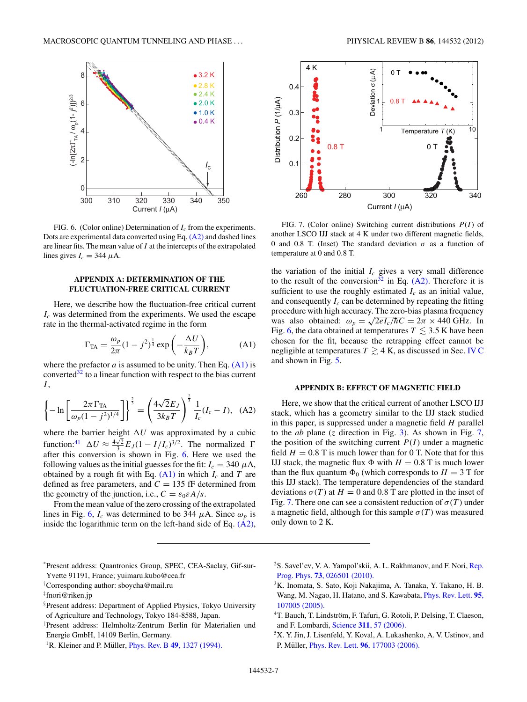<span id="page-6-0"></span>

FIG. 6. (Color online) Determination of *Ic* from the experiments. Dots are experimental data converted using Eq. (A2) and dashed lines are linear fits. The mean value of *I* at the intercepts of the extrapolated lines gives  $I_c = 344 \mu A$ .

# **APPENDIX A: DETERMINATION OF THE FLUCTUATION-FREE CRITICAL CURRENT**

Here, we describe how the fluctuation-free critical current *Ic* was determined from the experiments. We used the escape rate in the thermal-activated regime in the form

$$
\Gamma_{\text{TA}} = \frac{\omega_p}{2\pi} (1 - j^2)^{\frac{1}{4}} \exp\left(-\frac{\Delta U}{k_B T}\right),\tag{A1}
$$

where the prefactor  $a$  is assumed to be unity. Then Eq.  $(A1)$  is converted $32$  to a linear function with respect to the bias current *I* ,

$$
\left\{-\ln\left[\frac{2\pi\,\Gamma_{\text{TA}}}{\omega_p(1-j^2)^{1/4}}\right]\right\}^{\frac{2}{3}} = \left(\frac{4\sqrt{2}E_J}{3k_BT}\right)^{\frac{2}{3}}\frac{1}{I_c}(I_c - I),\quad(A2)
$$

where the barrier height  $\Delta U$  was approximated by a cubic function:<sup>[41](#page-7-0)</sup>  $\Delta U \approx \frac{4\sqrt{2}}{3} E_J (1 - I/I_c)^{3/2}$ . The normalized  $\Gamma$ after this conversion is shown in Fig. 6. Here we used the following values as the initial guesses for the fit:  $I_c = 340 \mu A$ , obtained by a rough fit with Eq.  $(A1)$  in which  $I_c$  and  $T$  are defined as free parameters, and  $C = 135$  fF determined from the geometry of the junction, i.e.,  $C = \varepsilon_0 \varepsilon A/s$ .

From the mean value of the zero crossing of the extrapolated lines in Fig. 6,  $I_c$  was determined to be 344  $\mu$ A. Since  $\omega_p$  is inside the logarithmic term on the left-hand side of Eq. (A2),



FIG. 7. (Color online) Switching current distributions *P*(*I* ) of another LSCO IJJ stack at 4 K under two different magnetic fields, 0 and 0.8 T. (Inset) The standard deviation  $\sigma$  as a function of temperature at 0 and 0*.*8 T.

the variation of the initial  $I_c$  gives a very small difference to the result of the conversion<sup>32</sup> in Eq.  $(A2)$ . Therefore it is sufficient to use the roughly estimated  $I_c$  as an initial value, and consequently  $I_c$  can be determined by repeating the fitting procedure with high accuracy. The zero-bias plasma frequency was also obtained:  $\omega_p = \sqrt{2eI_c/\hbar C} = 2\pi \times 440$  GHz. In Fig. 6, the data obtained at temperatures  $T \leq 3.5$  K have been chosen for the fit, because the retrapping effect cannot be negligible at temperatures  $T \gtrsim 4$  K, as discussed in Sec. [IV C](#page-5-0) and shown in Fig. [5.](#page-5-0)

#### **APPENDIX B: EFFECT OF MAGNETIC FIELD**

Here, we show that the critical current of another LSCO IJJ stack, which has a geometry similar to the IJJ stack studied in this paper, is suppressed under a magnetic field *H* parallel to the *ab* plane (*z* direction in Fig. [3\)](#page-2-0). As shown in Fig. 7, the position of the switching current  $P(I)$  under a magnetic field  $H = 0.8$  T is much lower than for 0 T. Note that for this IJJ stack, the magnetic flux  $\Phi$  with  $H = 0.8$  T is much lower than the flux quantum  $\Phi_0$  (which corresponds to  $H = 3$  T for this IJJ stack). The temperature dependencies of the standard deviations  $\sigma(T)$  at  $H = 0$  and 0.8 T are plotted in the inset of Fig. 7. There one can see a consistent reduction of  $\sigma(T)$  under a magnetic field, although for this sample  $\sigma(T)$  was measured only down to 2 K.

- <sup>2</sup>S. Savel'ev, V. A. Yampol'skii, A. L. Rakhmanov, and F. Nori, [Rep.](http://dx.doi.org/10.1088/0034-4885/73/2/026501) Prog. Phys. **73**[, 026501 \(2010\).](http://dx.doi.org/10.1088/0034-4885/73/2/026501)
- 3K. Inomata, S. Sato, Koji Nakajima, A. Tanaka, Y. Takano, H. B. Wang, M. Nagao, H. Hatano, and S. Kawabata, [Phys. Rev. Lett.](http://dx.doi.org/10.1103/PhysRevLett.95.107005) **95**, [107005 \(2005\).](http://dx.doi.org/10.1103/PhysRevLett.95.107005)
- <sup>4</sup>T. Bauch, T. Lindström, F. Tafuri, G. Rotoli, P. Delsing, T. Claeson, and F. Lombardi, Science **311**[, 57 \(2006\).](http://dx.doi.org/10.1126/science.1120793)
- 5X. Y. Jin, J. Lisenfeld, Y. Koval, A. Lukashenko, A. V. Ustinov, and P. Müller, *Phys. Rev. Lett.* **96**[, 177003 \(2006\).](http://dx.doi.org/10.1103/PhysRevLett.96.177003)

<sup>\*</sup> Present address: Quantronics Group, SPEC, CEA-Saclay, Gif-sur-Yvette 91191, France; yuimaru.kubo@cea.fr

<sup>†</sup> Corresponding author: sboycha@mail.ru

<sup>‡</sup> fnori@riken.jp

<sup>§</sup> Present address: Department of Applied Physics, Tokyo University of Agriculture and Technology, Tokyo 184-8588, Japan.

Present address: Helmholtz-Zentrum Berlin für Materialien und Energie GmbH, 14109 Berlin, Germany.

<sup>&</sup>lt;sup>1</sup>R. Kleiner and P. Müller, *Phys. Rev. B* **49**[, 1327 \(1994\).](http://dx.doi.org/10.1103/PhysRevB.49.1327)